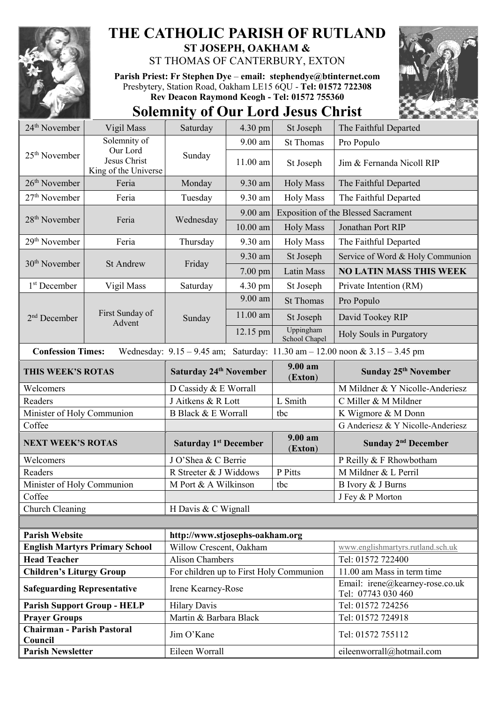

**Chairman - Parish Pastoral** 

## **THE CATHOLIC PARISH OF RUTLAND ST JOSEPH, OAKHAM &**

ST THOMAS OF CANTERBURY, EXTON

**Parish Priest: Fr Stephen Dye** – **[email: stephendye@btinternet.com](mailto:email:%20%20stephendye@btinternet.com)** Presbytery, Station Road, Oakham LE15 6QU - **Tel: 01572 722308 Rev Deacon Raymond Keogh - Tel: 01572 755360**

## **Solemnity of Our Lord Jesus Christ**



Council **Council** Tel: 01572 755112

**Parish Newsletter Eileen Worrall Eileen Worrall Eileenworrall** eileenworrall *eileenworrall* eileenworrall eileenworrall eileenworrall eileenworrall eileenworrall eileenworrall eileenworrall eileenworrall eileenworrall